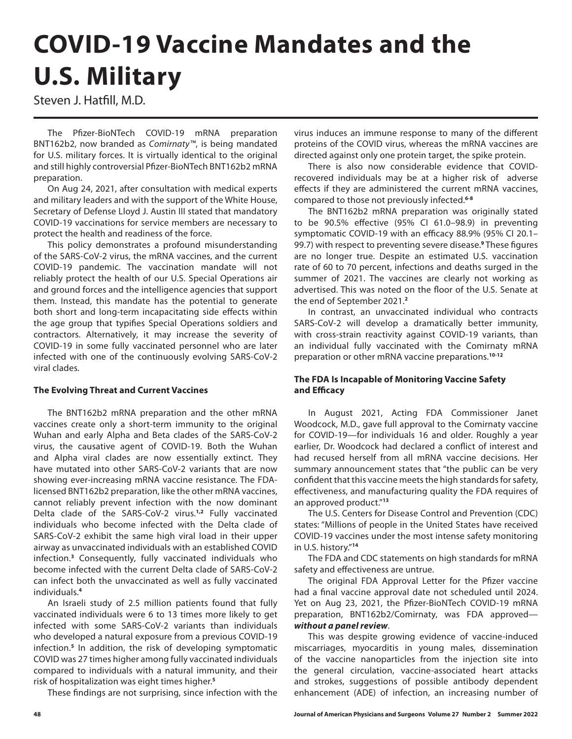# **COVID-19 Vaccine Mandates and the U.S. Military**

Steven J. Hatfill, M.D.

The Pfizer-BioNTech COVID-19 mRNA preparation BNT162b2, now branded as *Comirnaty™*, is being mandated for U.S. military forces. It is virtually identical to the original and still highly controversial Pfizer-BioNTech BNT162b2 mRNA preparation.

On Aug 24, 2021, after consultation with medical experts and military leaders and with the support of the White House, Secretary of Defense Lloyd J. Austin III stated that mandatory COVID-19 vaccinations for service members are necessary to protect the health and readiness of the force.

This policy demonstrates a profound misunderstanding of the SARS-CoV-2 virus, the mRNA vaccines, and the current COVID-19 pandemic. The vaccination mandate will not reliably protect the health of our U.S. Special Operations air and ground forces and the intelligence agencies that support them. Instead, this mandate has the potential to generate both short and long-term incapacitating side effects within the age group that typifies Special Operations soldiers and contractors. Alternatively, it may increase the severity of COVID-19 in some fully vaccinated personnel who are later infected with one of the continuously evolving SARS-CoV-2 viral clades.

### **The Evolving Threat and Current Vaccines**

The BNT162b2 mRNA preparation and the other mRNA vaccines create only a short-term immunity to the original Wuhan and early Alpha and Beta clades of the SARS-CoV-2 virus, the causative agent of COVID-19. Both the Wuhan and Alpha viral clades are now essentially extinct. They have mutated into other SARS-CoV-2 variants that are now showing ever-increasing mRNA vaccine resistance. The FDAlicensed BNT162b2 preparation, like the other mRNA vaccines, cannot reliably prevent infection with the now dominant Delta clade of the SARS-CoV-2 virus.**1,2** Fully vaccinated individuals who become infected with the Delta clade of SARS-CoV-2 exhibit the same high viral load in their upper airway as unvaccinated individuals with an established COVID infection.**<sup>3</sup>** Consequently, fully vaccinated individuals who become infected with the current Delta clade of SARS-CoV-2 can infect both the unvaccinated as well as fully vaccinated individuals.**<sup>4</sup>**

An Israeli study of 2.5 million patients found that fully vaccinated individuals were 6 to 13 times more likely to get infected with some SARS-CoV-2 variants than individuals who developed a natural exposure from a previous COVID-19 infection.**<sup>5</sup>** In addition, the risk of developing symptomatic COVID was 27 times higher among fully vaccinated individuals compared to individuals with a natural immunity, and their risk of hospitalization was eight times higher.**<sup>5</sup>**

These findings are not surprising, since infection with the

virus induces an immune response to many of the different proteins of the COVID virus, whereas the mRNA vaccines are directed against only one protein target, the spike protein.

There is also now considerable evidence that COVIDrecovered individuals may be at a higher risk of adverse effects if they are administered the current mRNA vaccines, compared to those not previously infected.**6-8**

The BNT162b2 mRNA preparation was originally stated to be 90.5% effective (95% CI 61.0–98.9) in preventing symptomatic COVID-19 with an efficacy 88.9% (95% CI 20.1– 99.7) with respect to preventing severe disease.**<sup>9</sup>** These figures are no longer true. Despite an estimated U.S. vaccination rate of 60 to 70 percent, infections and deaths surged in the summer of 2021. The vaccines are clearly not working as advertised. This was noted on the floor of the U.S. Senate at the end of September 2021.**<sup>2</sup>**

In contrast, an unvaccinated individual who contracts SARS-CoV-2 will develop a dramatically better immunity, with cross-strain reactivity against COVID-19 variants, than an individual fully vaccinated with the Comirnaty mRNA preparation or other mRNA vaccine preparations.**10-12**

## **The FDA Is Incapable of Monitoring Vaccine Safety and Efficacy**

In August 2021, Acting FDA Commissioner Janet Woodcock, M.D., gave full approval to the Comirnaty vaccine for COVID-19—for individuals 16 and older. Roughly a year earlier, Dr. Woodcock had declared a conflict of interest and had recused herself from all mRNA vaccine decisions. Her summary announcement states that "the public can be very confident that this vaccine meets the high standards for safety, effectiveness, and manufacturing quality the FDA requires of an approved product."**<sup>13</sup>**

The U.S. Centers for Disease Control and Prevention (CDC) states: "Millions of people in the United States have received COVID-19 vaccines under the most intense safety monitoring in U.S. history."**<sup>14</sup>**

The FDA and CDC statements on high standards for mRNA safety and effectiveness are untrue.

The original FDA Approval Letter for the Pfizer vaccine had a final vaccine approval date not scheduled until 2024. Yet on Aug 23, 2021, the Pfizer-BioNTech COVID-19 mRNA preparation, BNT162b2/Comirnaty, was FDA approved *without a panel review*.

This was despite growing evidence of vaccine-induced miscarriages, myocarditis in young males, dissemination of the vaccine nanoparticles from the injection site into the general circulation, vaccine-associated heart attacks and strokes, suggestions of possible antibody dependent enhancement (ADE) of infection, an increasing number of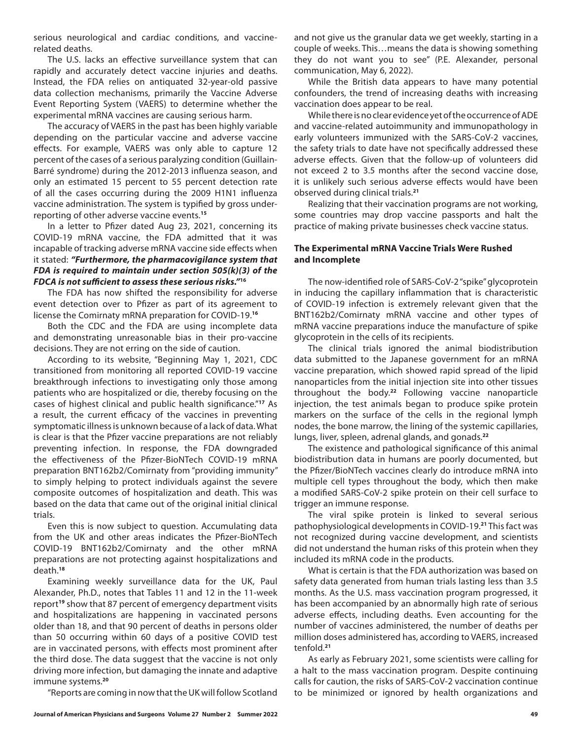serious neurological and cardiac conditions, and vaccinerelated deaths.

The U.S. lacks an effective surveillance system that can rapidly and accurately detect vaccine injuries and deaths. Instead, the FDA relies on antiquated 32-year-old passive data collection mechanisms, primarily the Vaccine Adverse Event Reporting System (VAERS) to determine whether the experimental mRNA vaccines are causing serious harm.

The accuracy of VAERS in the past has been highly variable depending on the particular vaccine and adverse vaccine effects. For example, VAERS was only able to capture 12 percent of the cases of a serious paralyzing condition (Guillain-Barré syndrome) during the 2012-2013 influenza season, and only an estimated 15 percent to 55 percent detection rate of all the cases occurring during the 2009 H1N1 influenza vaccine administration. The system is typified by gross underreporting of other adverse vaccine events.**<sup>15</sup>**

In a letter to Pfizer dated Aug 23, 2021, concerning its COVID-19 mRNA vaccine, the FDA admitted that it was incapable of tracking adverse mRNA vaccine side effects when it stated: *"Furthermore, the pharmacovigilance system that FDA is required to maintain under section 505(k)(3) of the FDCA is not sufficient to assess these serious risks."***<sup>16</sup>**

The FDA has now shifted the responsibility for adverse event detection over to Pfizer as part of its agreement to license the Comirnaty mRNA preparation for COVID-19.**<sup>16</sup>**

Both the CDC and the FDA are using incomplete data and demonstrating unreasonable bias in their pro-vaccine decisions. They are not erring on the side of caution.

According to its website, "Beginning May 1, 2021, CDC transitioned from monitoring all reported COVID-19 vaccine breakthrough infections to investigating only those among patients who are hospitalized or die, thereby focusing on the cases of highest clinical and public health significance."**<sup>17</sup>** As a result, the current efficacy of the vaccines in preventing symptomatic illness is unknown because of a lack of data. What is clear is that the Pfizer vaccine preparations are not reliably preventing infection. In response, the FDA downgraded the effectiveness of the Pfizer-BioNTech COVID-19 mRNA preparation BNT162b2/Comirnaty from "providing immunity" to simply helping to protect individuals against the severe composite outcomes of hospitalization and death. This was based on the data that came out of the original initial clinical trials.

Even this is now subject to question. Accumulating data from the UK and other areas indicates the Pfizer-BioNTech COVID-19 BNT162b2/Comirnaty and the other mRNA preparations are not protecting against hospitalizations and death.**<sup>18</sup>**

Examining weekly surveillance data for the UK, Paul Alexander, Ph.D., notes that Tables 11 and 12 in the 11-week report**<sup>19</sup>** show that 87 percent of emergency department visits and hospitalizations are happening in vaccinated persons older than 18, and that 90 percent of deaths in persons older than 50 occurring within 60 days of a positive COVID test are in vaccinated persons, with effects most prominent after the third dose. The data suggest that the vaccine is not only driving more infection, but damaging the innate and adaptive immune systems.**<sup>20</sup>**

"Reports are coming in now that the UK will follow Scotland

and not give us the granular data we get weekly, starting in a couple of weeks. This…means the data is showing something they do not want you to see" (P.E. Alexander, personal communication, May 6, 2022).

While the British data appears to have many potential confounders, the trend of increasing deaths with increasing vaccination does appear to be real.

While there is no clear evidence yet of the occurrence of ADE and vaccine-related autoimmunity and immunopathology in early volunteers immunized with the SARS-CoV-2 vaccines, the safety trials to date have not specifically addressed these adverse effects. Given that the follow-up of volunteers did not exceed 2 to 3.5 months after the second vaccine dose, it is unlikely such serious adverse effects would have been observed during clinical trials.**<sup>21</sup>**

Realizing that their vaccination programs are not working, some countries may drop vaccine passports and halt the practice of making private businesses check vaccine status.

#### **The Experimental mRNA Vaccine Trials Were Rushed and Incomplete**

The now-identified role of SARS-CoV-2 "spike" glycoprotein in inducing the capillary inflammation that is characteristic of COVID-19 infection is extremely relevant given that the BNT162b2/Comirnaty mRNA vaccine and other types of mRNA vaccine preparations induce the manufacture of spike glycoprotein in the cells of its recipients.

The clinical trials ignored the animal biodistribution data submitted to the Japanese government for an mRNA vaccine preparation, which showed rapid spread of the lipid nanoparticles from the initial injection site into other tissues throughout the body.**<sup>22</sup>** Following vaccine nanoparticle injection, the test animals began to produce spike protein markers on the surface of the cells in the regional lymph nodes, the bone marrow, the lining of the systemic capillaries, lungs, liver, spleen, adrenal glands, and gonads.**<sup>22</sup>**

The existence and pathological significance of this animal biodistribution data in humans are poorly documented, but the Pfizer/BioNTech vaccines clearly do introduce mRNA into multiple cell types throughout the body, which then make a modified SARS-CoV-2 spike protein on their cell surface to trigger an immune response.

The viral spike protein is linked to several serious pathophysiological developments in COVID-19.**<sup>21</sup>** This fact was not recognized during vaccine development, and scientists did not understand the human risks of this protein when they included its mRNA code in the products.

What is certain is that the FDA authorization was based on safety data generated from human trials lasting less than 3.5 months. As the U.S. mass vaccination program progressed, it has been accompanied by an abnormally high rate of serious adverse effects, including deaths. Even accounting for the number of vaccines administered, the number of deaths per million doses administered has, according to VAERS, increased tenfold.**<sup>21</sup>**

As early as February 2021, some scientists were calling for a halt to the mass vaccination program. Despite continuing calls for caution, the risks of SARS-CoV-2 vaccination continue to be minimized or ignored by health organizations and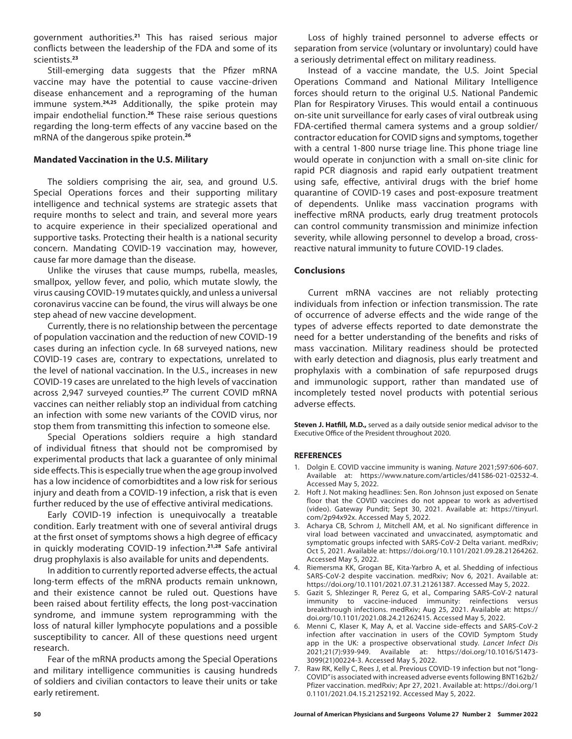government authorities.**<sup>21</sup>** This has raised serious major conflicts between the leadership of the FDA and some of its scientists.**<sup>23</sup>**

Still-emerging data suggests that the Pfizer mRNA vaccine may have the potential to cause vaccine-driven disease enhancement and a reprograming of the human immune system.**24,25** Additionally, the spike protein may impair endothelial function.**<sup>26</sup>** These raise serious questions regarding the long-term effects of any vaccine based on the mRNA of the dangerous spike protein.**<sup>26</sup>**

#### **Mandated Vaccination in the U.S. Military**

The soldiers comprising the air, sea, and ground U.S. Special Operations forces and their supporting military intelligence and technical systems are strategic assets that require months to select and train, and several more years to acquire experience in their specialized operational and supportive tasks. Protecting their health is a national security concern. Mandating COVID-19 vaccination may, however, cause far more damage than the disease.

Unlike the viruses that cause mumps, rubella, measles, smallpox, yellow fever, and polio, which mutate slowly, the virus causing COVID-19 mutates quickly, and unless a universal coronavirus vaccine can be found, the virus will always be one step ahead of new vaccine development.

Currently, there is no relationship between the percentage of population vaccination and the reduction of new COVID-19 cases during an infection cycle. In 68 surveyed nations, new COVID-19 cases are, contrary to expectations, unrelated to the level of national vaccination. In the U.S., increases in new COVID-19 cases are unrelated to the high levels of vaccination across 2,947 surveyed counties.**<sup>27</sup>** The current COVID mRNA vaccines can neither reliably stop an individual from catching an infection with some new variants of the COVID virus, nor stop them from transmitting this infection to someone else.

Special Operations soldiers require a high standard of individual fitness that should not be compromised by experimental products that lack a guarantee of only minimal side effects. This is especially true when the age group involved has a low incidence of comorbidtites and a low risk for serious injury and death from a COVID-19 infection, a risk that is even further reduced by the use of effective antiviral medications.

Early COVID-19 infection is unequivocally a treatable condition. Early treatment with one of several antiviral drugs at the first onset of symptoms shows a high degree of efficacy in quickly moderating COVID-19 infection.**21,28** Safe antiviral drug prophylaxis is also available for units and dependents.

In addition to currently reported adverse effects, the actual long-term effects of the mRNA products remain unknown, and their existence cannot be ruled out. Questions have been raised about fertility effects, the long post-vaccination syndrome, and immune system reprogramming with the loss of natural killer lymphocyte populations and a possible susceptibility to cancer. All of these questions need urgent research.

Fear of the mRNA products among the Special Operations and military intelligence communities is causing hundreds of soldiers and civilian contactors to leave their units or take early retirement.

Loss of highly trained personnel to adverse effects or separation from service (voluntary or involuntary) could have a seriously detrimental effect on military readiness.

Instead of a vaccine mandate, the U.S. Joint Special Operations Command and National Military Intelligence forces should return to the original U.S. National Pandemic Plan for Respiratory Viruses. This would entail a continuous on-site unit surveillance for early cases of viral outbreak using FDA-certified thermal camera systems and a group soldier/ contractor education for COVID signs and symptoms, together with a central 1-800 nurse triage line. This phone triage line would operate in conjunction with a small on-site clinic for rapid PCR diagnosis and rapid early outpatient treatment using safe, effective, antiviral drugs with the brief home quarantine of COVID-19 cases and post-exposure treatment of dependents. Unlike mass vaccination programs with ineffective mRNA products, early drug treatment protocols can control community transmission and minimize infection severity, while allowing personnel to develop a broad, crossreactive natural immunity to future COVID-19 clades.

#### **Conclusions**

Current mRNA vaccines are not reliably protecting individuals from infection or infection transmission. The rate of occurrence of adverse effects and the wide range of the types of adverse effects reported to date demonstrate the need for a better understanding of the benefits and risks of mass vaccination. Military readiness should be protected with early detection and diagnosis, plus early treatment and prophylaxis with a combination of safe repurposed drugs and immunologic support, rather than mandated use of incompletely tested novel products with potential serious adverse effects.

**Steven J. Hatfill, M.D.,** served as a daily outside senior medical advisor to the Executive Office of the President throughout 2020.

#### **REFERENCES**

- 1. Dolgin E. COVID vaccine immunity is waning. *Nature* 2021;597:606-607. Available at: https://www.nature.com/articles/d41586-021-02532-4. Accessed May 5, 2022.
- 2. Hoft J. Not making headlines: Sen. Ron Johnson just exposed on Senate floor that the COVID vaccines do not appear to work as advertised (video). Gateway Pundit; Sept 30, 2021. Available at: https://tinyurl. com/2p94x92x. Accessed May 5, 2022.
- 3. Acharya CB, Schrom J, Mitchell AM, et al. No significant difference in viral load between vaccinated and unvaccinated, asymptomatic and symptomatic groups infected with SARS-CoV-2 Delta variant. medRxiv; Oct 5, 2021. Available at: https://doi.org/10.1101/2021.09.28.21264262. Accessed May 5, 2022.
- 4. Riemersma KK, Grogan BE, Kita-Yarbro A, et al. Shedding of infectious SARS-CoV-2 despite vaccination. medRxiv; Nov 6, 2021. Available at: https://doi.org/10.1101/2021.07.31.21261387. Accessed May 5, 2022.
- 5. Gazit S, Shlezinger R, Perez G, et al., Comparing SARS-CoV-2 natural immunity to vaccine-induced immunity: reinfections versus breakthrough infections. medRxiv; Aug 25, 2021. Available at: https:// doi.org/10.1101/2021.08.24.21262415. Accessed May 5, 2022.
- 6. Menni C, Klaser K, May A, et al. Vaccine side-effects and SARS-CoV-2 infection after vaccination in users of the COVID Symptom Study app in the UK: a prospective observational study. *Lancet Infect Dis* 2021;21(7):939-949. Available at: https://doi.org/10.1016/S1473- 3099(21)00224-3. Accessed May 5, 2022.
- 7. Raw RK, Kelly C, Rees J, et al. Previous COVID-19 infection but not "long-COVID" is associated with increased adverse events following BNT162b2/ Pfizer vaccination. medRxiv; Apr 27, 2021. Available at: https://doi.org/1 0.1101/2021.04.15.21252192. Accessed May 5, 2022.